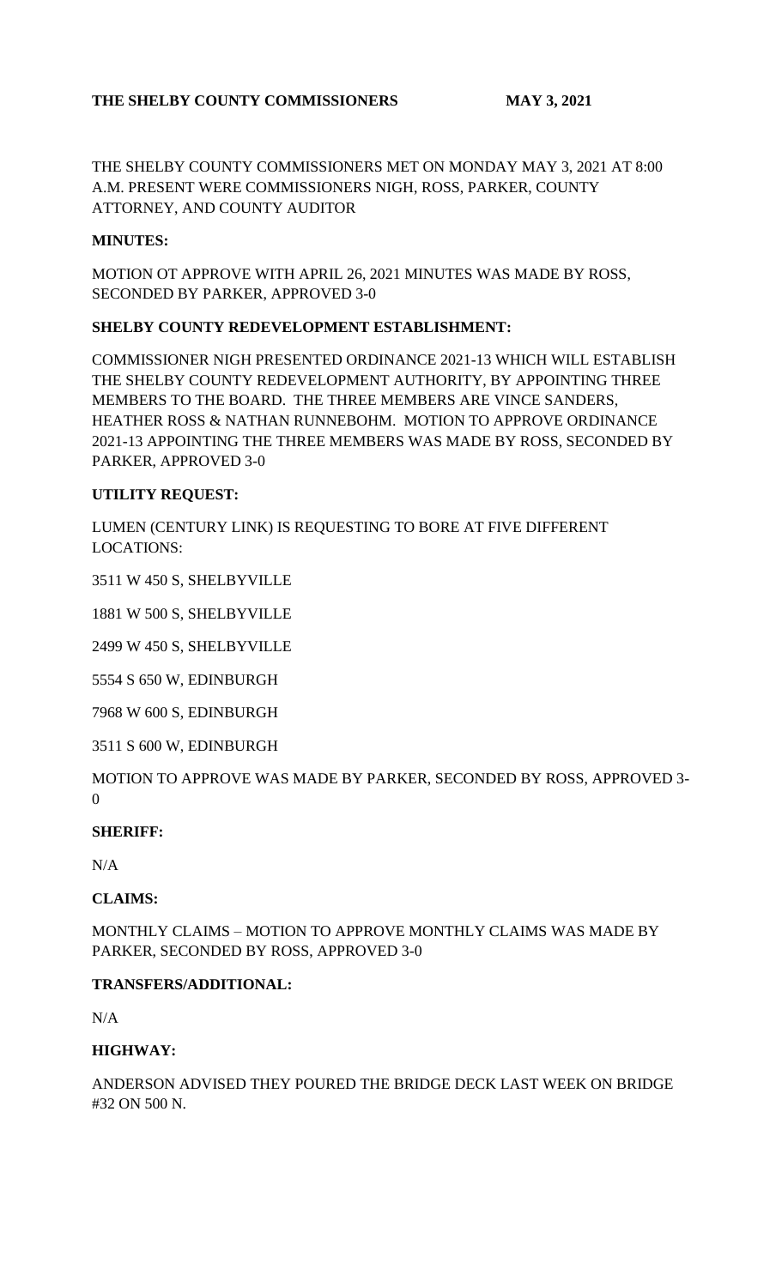## **THE SHELBY COUNTY COMMISSIONERS MAY 3, 2021**

THE SHELBY COUNTY COMMISSIONERS MET ON MONDAY MAY 3, 2021 AT 8:00 A.M. PRESENT WERE COMMISSIONERS NIGH, ROSS, PARKER, COUNTY ATTORNEY, AND COUNTY AUDITOR

### **MINUTES:**

MOTION OT APPROVE WITH APRIL 26, 2021 MINUTES WAS MADE BY ROSS, SECONDED BY PARKER, APPROVED 3-0

#### **SHELBY COUNTY REDEVELOPMENT ESTABLISHMENT:**

COMMISSIONER NIGH PRESENTED ORDINANCE 2021-13 WHICH WILL ESTABLISH THE SHELBY COUNTY REDEVELOPMENT AUTHORITY, BY APPOINTING THREE MEMBERS TO THE BOARD. THE THREE MEMBERS ARE VINCE SANDERS, HEATHER ROSS & NATHAN RUNNEBOHM. MOTION TO APPROVE ORDINANCE 2021-13 APPOINTING THE THREE MEMBERS WAS MADE BY ROSS, SECONDED BY PARKER, APPROVED 3-0

#### **UTILITY REQUEST:**

LUMEN (CENTURY LINK) IS REQUESTING TO BORE AT FIVE DIFFERENT LOCATIONS:

3511 W 450 S, SHELBYVILLE

1881 W 500 S, SHELBYVILLE

2499 W 450 S, SHELBYVILLE

5554 S 650 W, EDINBURGH

7968 W 600 S, EDINBURGH

3511 S 600 W, EDINBURGH

MOTION TO APPROVE WAS MADE BY PARKER, SECONDED BY ROSS, APPROVED 3- 0

## **SHERIFF:**

N/A

## **CLAIMS:**

MONTHLY CLAIMS – MOTION TO APPROVE MONTHLY CLAIMS WAS MADE BY PARKER, SECONDED BY ROSS, APPROVED 3-0

#### **TRANSFERS/ADDITIONAL:**

N/A

## **HIGHWAY:**

ANDERSON ADVISED THEY POURED THE BRIDGE DECK LAST WEEK ON BRIDGE #32 ON 500 N.